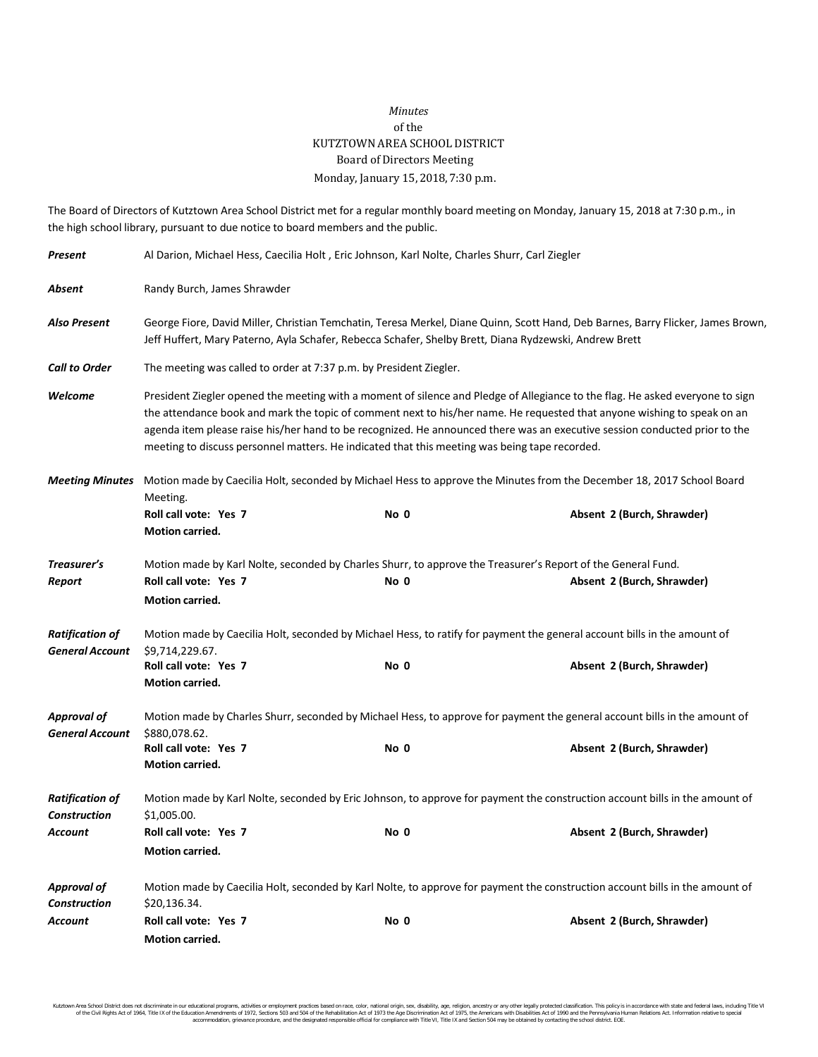## *Minutes* of the KUTZTOWN AREA SCHOOL DISTRICT Board of Directors Meeting Monday, January 15, 2018, 7:30 p.m.

The Board of Directors of Kutztown Area School District met for a regular monthly board meeting on Monday, January 15, 2018 at 7:30 p.m., in the high school library, pursuant to due notice to board members and the public.

| Present                                          | Al Darion, Michael Hess, Caecilia Holt, Eric Johnson, Karl Nolte, Charles Shurr, Carl Ziegler                                                                                                                                                                                                                                                                                                                                                                                           |      |                                                                                                              |  |
|--------------------------------------------------|-----------------------------------------------------------------------------------------------------------------------------------------------------------------------------------------------------------------------------------------------------------------------------------------------------------------------------------------------------------------------------------------------------------------------------------------------------------------------------------------|------|--------------------------------------------------------------------------------------------------------------|--|
| Absent                                           | Randy Burch, James Shrawder                                                                                                                                                                                                                                                                                                                                                                                                                                                             |      |                                                                                                              |  |
| Also Present                                     | George Fiore, David Miller, Christian Temchatin, Teresa Merkel, Diane Quinn, Scott Hand, Deb Barnes, Barry Flicker, James Brown,<br>Jeff Huffert, Mary Paterno, Ayla Schafer, Rebecca Schafer, Shelby Brett, Diana Rydzewski, Andrew Brett                                                                                                                                                                                                                                              |      |                                                                                                              |  |
| <b>Call to Order</b>                             | The meeting was called to order at 7:37 p.m. by President Ziegler.                                                                                                                                                                                                                                                                                                                                                                                                                      |      |                                                                                                              |  |
| Welcome                                          | President Ziegler opened the meeting with a moment of silence and Pledge of Allegiance to the flag. He asked everyone to sign<br>the attendance book and mark the topic of comment next to his/her name. He requested that anyone wishing to speak on an<br>agenda item please raise his/her hand to be recognized. He announced there was an executive session conducted prior to the<br>meeting to discuss personnel matters. He indicated that this meeting was being tape recorded. |      |                                                                                                              |  |
| <b>Meeting Minutes</b>                           | Motion made by Caecilia Holt, seconded by Michael Hess to approve the Minutes from the December 18, 2017 School Board<br>Meeting.                                                                                                                                                                                                                                                                                                                                                       |      |                                                                                                              |  |
|                                                  | Roll call vote: Yes 7<br>Motion carried.                                                                                                                                                                                                                                                                                                                                                                                                                                                | No 0 | Absent 2 (Burch, Shrawder)                                                                                   |  |
| Treasurer's                                      |                                                                                                                                                                                                                                                                                                                                                                                                                                                                                         |      | Motion made by Karl Nolte, seconded by Charles Shurr, to approve the Treasurer's Report of the General Fund. |  |
| Report                                           | Roll call vote: Yes 7<br>Motion carried.                                                                                                                                                                                                                                                                                                                                                                                                                                                | No 0 | Absent 2 (Burch, Shrawder)                                                                                   |  |
| <b>Ratification of</b><br><b>General Account</b> | Motion made by Caecilia Holt, seconded by Michael Hess, to ratify for payment the general account bills in the amount of<br>\$9,714,229.67.                                                                                                                                                                                                                                                                                                                                             |      |                                                                                                              |  |
|                                                  | Roll call vote: Yes 7<br>Motion carried.                                                                                                                                                                                                                                                                                                                                                                                                                                                | No 0 | Absent 2 (Burch, Shrawder)                                                                                   |  |
| <b>Approval of</b><br><b>General Account</b>     | Motion made by Charles Shurr, seconded by Michael Hess, to approve for payment the general account bills in the amount of<br>\$880,078.62.                                                                                                                                                                                                                                                                                                                                              |      |                                                                                                              |  |
|                                                  | Roll call vote: Yes 7<br>Motion carried.                                                                                                                                                                                                                                                                                                                                                                                                                                                | No 0 | Absent 2 (Burch, Shrawder)                                                                                   |  |
| <b>Ratification of</b><br><b>Construction</b>    | Motion made by Karl Nolte, seconded by Eric Johnson, to approve for payment the construction account bills in the amount of<br>\$1,005.00.                                                                                                                                                                                                                                                                                                                                              |      |                                                                                                              |  |
| Account                                          | Roll call vote: Yes 7<br>Motion carried.                                                                                                                                                                                                                                                                                                                                                                                                                                                | No 0 | Absent 2 (Burch, Shrawder)                                                                                   |  |
| <b>Approval of</b><br><b>Construction</b>        | Motion made by Caecilia Holt, seconded by Karl Nolte, to approve for payment the construction account bills in the amount of<br>\$20,136.34.                                                                                                                                                                                                                                                                                                                                            |      |                                                                                                              |  |
| Account                                          | Roll call vote: Yes 7<br>Motion carried.                                                                                                                                                                                                                                                                                                                                                                                                                                                | No 0 | Absent 2 (Burch, Shrawder)                                                                                   |  |

Kutztown Area School District does not discriminate in our educational programs, activities or employment practices based on race, color, national origh, sex, disability, age, religion, ancestry or any other legally prote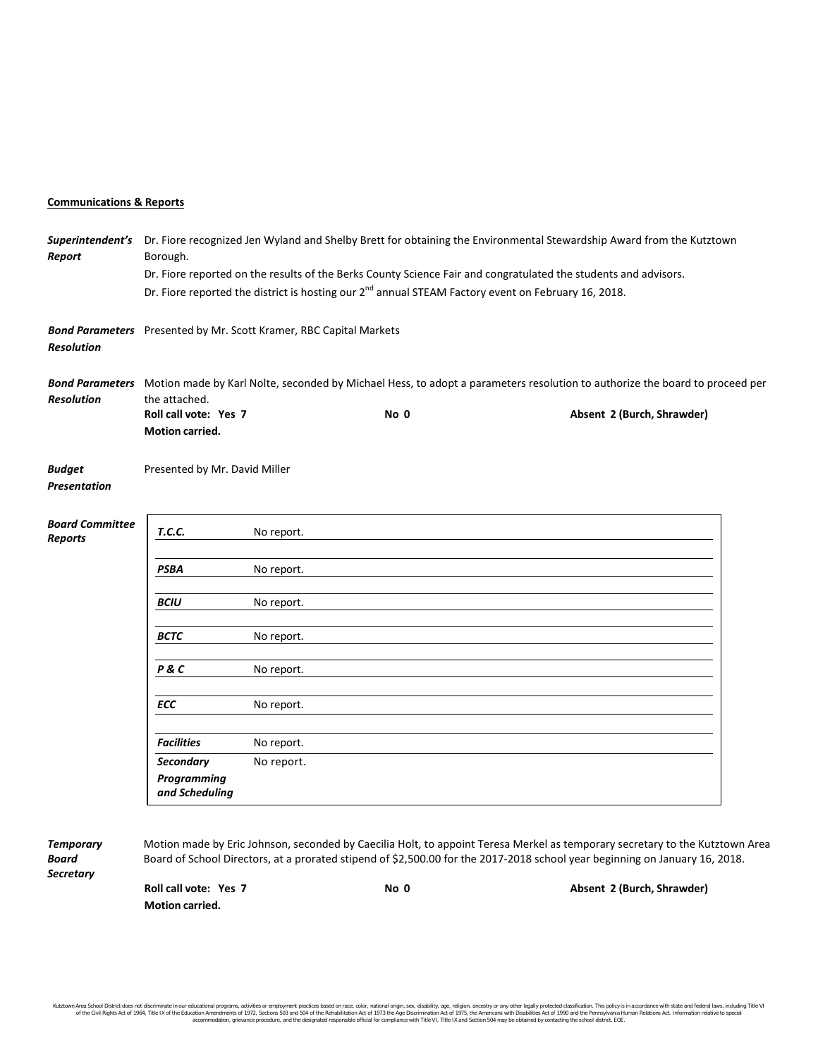## **Communications & Reports**

| Report                            | Superintendent's Dr. Fiore recognized Jen Wyland and Shelby Brett for obtaining the Environmental Stewardship Award from the Kutztown<br>Borough.            |            |                                                                                                                 |  |                                                                                                                              |  |
|-----------------------------------|--------------------------------------------------------------------------------------------------------------------------------------------------------------|------------|-----------------------------------------------------------------------------------------------------------------|--|------------------------------------------------------------------------------------------------------------------------------|--|
|                                   | Dr. Fiore reported on the results of the Berks County Science Fair and congratulated the students and advisors.                                              |            |                                                                                                                 |  |                                                                                                                              |  |
|                                   |                                                                                                                                                              |            | Dr. Fiore reported the district is hosting our 2 <sup>nd</sup> annual STEAM Factory event on February 16, 2018. |  |                                                                                                                              |  |
| <b>Resolution</b>                 | Bond Parameters Presented by Mr. Scott Kramer, RBC Capital Markets                                                                                           |            |                                                                                                                 |  |                                                                                                                              |  |
| <b>Resolution</b>                 | Bond Parameters Motion made by Karl Nolte, seconded by Michael Hess, to adopt a parameters resolution to authorize the board to proceed per<br>the attached. |            |                                                                                                                 |  |                                                                                                                              |  |
|                                   | Roll call vote: Yes 7<br>Motion carried.                                                                                                                     |            | No 0                                                                                                            |  | Absent 2 (Burch, Shrawder)                                                                                                   |  |
| <b>Budget</b><br>Presentation     | Presented by Mr. David Miller                                                                                                                                |            |                                                                                                                 |  |                                                                                                                              |  |
| <b>Board Committee</b><br>Reports | T.C.C.                                                                                                                                                       | No report. |                                                                                                                 |  |                                                                                                                              |  |
|                                   | <b>PSBA</b>                                                                                                                                                  | No report. |                                                                                                                 |  |                                                                                                                              |  |
|                                   | <b>BCIU</b>                                                                                                                                                  | No report. |                                                                                                                 |  |                                                                                                                              |  |
|                                   | <b>BCTC</b>                                                                                                                                                  | No report. |                                                                                                                 |  |                                                                                                                              |  |
|                                   | P & C                                                                                                                                                        | No report. |                                                                                                                 |  |                                                                                                                              |  |
|                                   | ECC                                                                                                                                                          | No report. |                                                                                                                 |  |                                                                                                                              |  |
|                                   | <b>Facilities</b>                                                                                                                                            | No report. |                                                                                                                 |  |                                                                                                                              |  |
|                                   | <b>Secondary</b><br>Programming<br>and Scheduling                                                                                                            | No report. |                                                                                                                 |  |                                                                                                                              |  |
| <b>Temporary</b>                  |                                                                                                                                                              |            |                                                                                                                 |  | Motion made by Eric Johnson, seconded by Caecilia Holt, to appoint Teresa Merkel as temporary secretary to the Kutztown Area |  |

*Secretary*

Board Board of School Directors, at a prorated stipend of \$2,500.00 for the 2017-2018 school year beginning on January 16, 2018.

**Motion carried.**

**Roll call vote: Yes 7 No 0 Absent 2 (Burch, Shrawder)**

Kutztown Area School District does not discriminate in our educational programs, activities or employment practices based on race, color, national origh, sex, disability, age, religion, ancestry or any other legally prote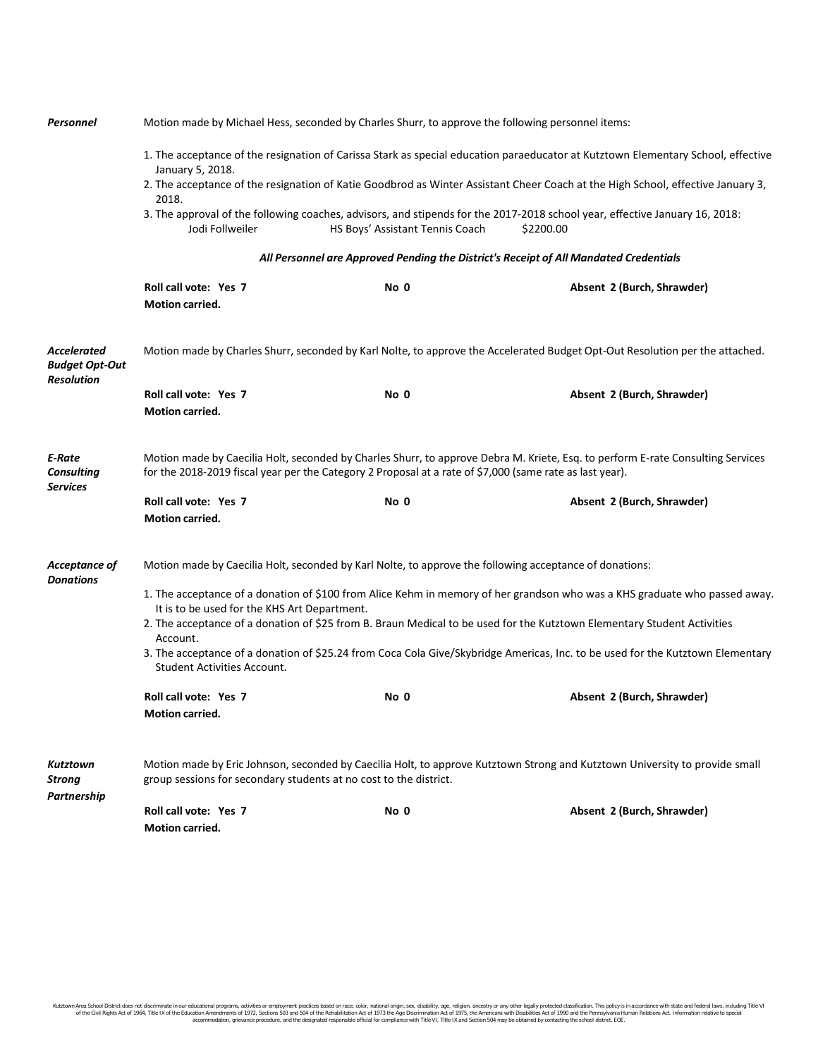| Personnel                                                 | Motion made by Michael Hess, seconded by Charles Shurr, to approve the following personnel items:                                                                                                                                           |                                 |                                                                                                                                          |  |  |  |
|-----------------------------------------------------------|---------------------------------------------------------------------------------------------------------------------------------------------------------------------------------------------------------------------------------------------|---------------------------------|------------------------------------------------------------------------------------------------------------------------------------------|--|--|--|
|                                                           | 1. The acceptance of the resignation of Carissa Stark as special education paraeducator at Kutztown Elementary School, effective<br>January 5, 2018.                                                                                        |                                 |                                                                                                                                          |  |  |  |
|                                                           | 2018.                                                                                                                                                                                                                                       |                                 | 2. The acceptance of the resignation of Katie Goodbrod as Winter Assistant Cheer Coach at the High School, effective January 3,          |  |  |  |
|                                                           | Jodi Follweiler                                                                                                                                                                                                                             | HS Boys' Assistant Tennis Coach | 3. The approval of the following coaches, advisors, and stipends for the 2017-2018 school year, effective January 16, 2018:<br>\$2200.00 |  |  |  |
|                                                           | All Personnel are Approved Pending the District's Receipt of All Mandated Credentials                                                                                                                                                       |                                 |                                                                                                                                          |  |  |  |
|                                                           | Roll call vote: Yes 7<br>Motion carried.                                                                                                                                                                                                    | No 0                            | Absent 2 (Burch, Shrawder)                                                                                                               |  |  |  |
| Accelerated<br><b>Budget Opt-Out</b><br><b>Resolution</b> | Motion made by Charles Shurr, seconded by Karl Nolte, to approve the Accelerated Budget Opt-Out Resolution per the attached.                                                                                                                |                                 |                                                                                                                                          |  |  |  |
|                                                           | Roll call vote: Yes 7<br><b>Motion carried.</b>                                                                                                                                                                                             | No 0                            | Absent 2 (Burch, Shrawder)                                                                                                               |  |  |  |
| E-Rate<br><b>Consulting</b><br><b>Services</b>            | Motion made by Caecilia Holt, seconded by Charles Shurr, to approve Debra M. Kriete, Esq. to perform E-rate Consulting Services<br>for the 2018-2019 fiscal year per the Category 2 Proposal at a rate of \$7,000 (same rate as last year). |                                 |                                                                                                                                          |  |  |  |
|                                                           | Roll call vote: Yes 7<br>Motion carried.                                                                                                                                                                                                    | No 0                            | Absent 2 (Burch, Shrawder)                                                                                                               |  |  |  |
| Acceptance of<br><b>Donations</b>                         | Motion made by Caecilia Holt, seconded by Karl Nolte, to approve the following acceptance of donations:                                                                                                                                     |                                 |                                                                                                                                          |  |  |  |
|                                                           | 1. The acceptance of a donation of \$100 from Alice Kehm in memory of her grandson who was a KHS graduate who passed away.<br>It is to be used for the KHS Art Department.                                                                  |                                 |                                                                                                                                          |  |  |  |
|                                                           | 2. The acceptance of a donation of \$25 from B. Braun Medical to be used for the Kutztown Elementary Student Activities<br>Account.                                                                                                         |                                 |                                                                                                                                          |  |  |  |
|                                                           | 3. The acceptance of a donation of \$25.24 from Coca Cola Give/Skybridge Americas, Inc. to be used for the Kutztown Elementary<br>Student Activities Account.                                                                               |                                 |                                                                                                                                          |  |  |  |
|                                                           | Roll call vote: Yes 7<br>Motion carried.                                                                                                                                                                                                    | No 0                            | Absent 2 (Burch, Shrawder)                                                                                                               |  |  |  |
| Kutztown<br><b>Strong</b><br>Partnership                  | Motion made by Eric Johnson, seconded by Caecilia Holt, to approve Kutztown Strong and Kutztown University to provide small<br>group sessions for secondary students at no cost to the district.                                            |                                 |                                                                                                                                          |  |  |  |
|                                                           | Roll call vote: Yes 7<br><b>Motion carried.</b>                                                                                                                                                                                             | No 0                            | Absent 2 (Burch, Shrawder)                                                                                                               |  |  |  |